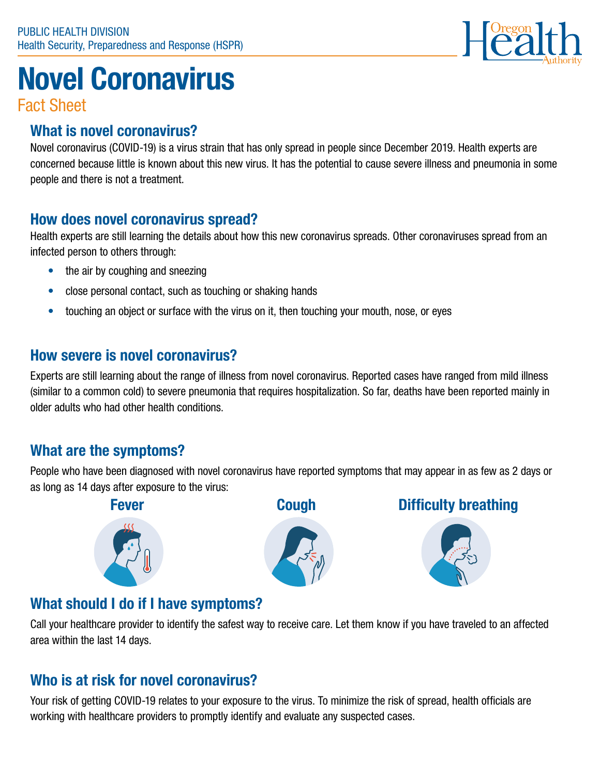

# Novel Coronavirus

Fact Sheet

#### What is novel coronavirus?

Novel coronavirus (COVID-19) is a virus strain that has only spread in people since December 2019. Health experts are concerned because little is known about this new virus. It has the potential to cause severe illness and pneumonia in some people and there is not a treatment.

#### How does novel coronavirus spread?

Health experts are still learning the details about how this new coronavirus spreads. Other coronaviruses spread from an infected person to others through:

- the air by coughing and sneezing
- close personal contact, such as touching or shaking hands
- touching an object or surface with the virus on it, then touching your mouth, nose, or eyes

#### How severe is novel coronavirus?

Experts are still learning about the range of illness from novel coronavirus. Reported cases have ranged from mild illness (similar to a common cold) to severe pneumonia that requires hospitalization. So far, deaths have been reported mainly in older adults who had other health conditions.

#### What are the symptoms?

People who have been diagnosed with novel coronavirus have reported symptoms that may appear in as few as 2 days or as long as 14 days after exposure to the virus:







#### Fever **Cough** Difficulty breathing



### What should I do if I have symptoms?

Call your healthcare provider to identify the safest way to receive care. Let them know if you have traveled to an affected area within the last 14 days.

### Who is at risk for novel coronavirus?

Your risk of getting COVID-19 relates to your exposure to the virus. To minimize the risk of spread, health officials are working with healthcare providers to promptly identify and evaluate any suspected cases.